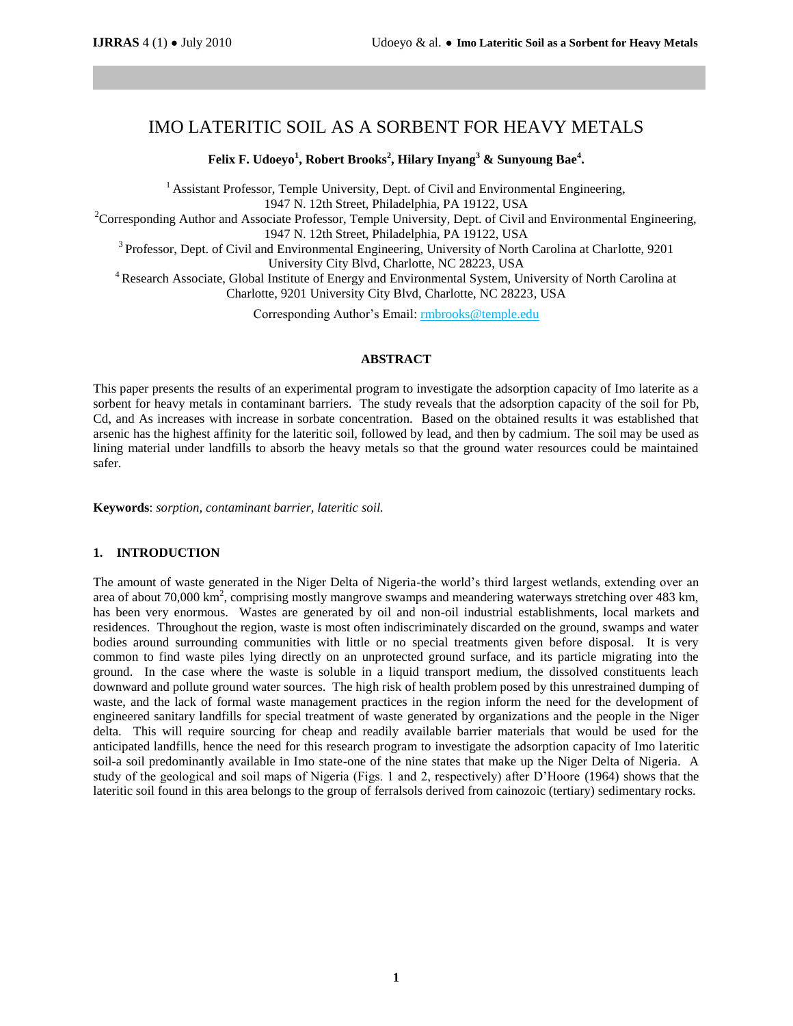# IMO LATERITIC SOIL AS A SORBENT FOR HEAVY METALS

**Felix F. Udoeyo<sup>1</sup> , Robert Brooks<sup>2</sup> , Hilary Inyang<sup>3</sup> & Sunyoung Bae<sup>4</sup> .**

<sup>1</sup> Assistant Professor, Temple University, Dept. of Civil and Environmental Engineering, 1947 N. 12th Street, Philadelphia, PA 19122, USA  ${}^{2}$ Corresponding Author and Associate Professor, Temple University, Dept. of Civil and Environmental Engineering, 1947 N. 12th Street, Philadelphia, PA 19122, USA <sup>3</sup> Professor, Dept. of Civil and Environmental Engineering, University of North Carolina at Charlotte, 9201

University City Blvd, Charlotte, NC 28223, USA <sup>4</sup> Research Associate, Global Institute of Energy and Environmental System, University of North Carolina at

Charlotte, 9201 University City Blvd, Charlotte, NC 28223, USA

Corresponding Author's Email: rmbrooks@temple.edu

#### **ABSTRACT**

This paper presents the results of an experimental program to investigate the adsorption capacity of Imo laterite as a sorbent for heavy metals in contaminant barriers. The study reveals that the adsorption capacity of the soil for Pb, Cd, and As increases with increase in sorbate concentration. Based on the obtained results it was established that arsenic has the highest affinity for the lateritic soil, followed by lead, and then by cadmium. The soil may be used as lining material under landfills to absorb the heavy metals so that the ground water resources could be maintained safer.

**Keywords**: *sorption, contaminant barrier, lateritic soil.*

#### **1. INTRODUCTION**

The amount of waste generated in the Niger Delta of Nigeria-the world's third largest wetlands, extending over an area of about 70,000  $\text{km}^2$ , comprising mostly mangrove swamps and meandering waterways stretching over 483 km, has been very enormous. Wastes are generated by oil and non-oil industrial establishments, local markets and residences. Throughout the region, waste is most often indiscriminately discarded on the ground, swamps and water bodies around surrounding communities with little or no special treatments given before disposal. It is very common to find waste piles lying directly on an unprotected ground surface, and its particle migrating into the ground. In the case where the waste is soluble in a liquid transport medium, the dissolved constituents leach downward and pollute ground water sources. The high risk of health problem posed by this unrestrained dumping of waste, and the lack of formal waste management practices in the region inform the need for the development of engineered sanitary landfills for special treatment of waste generated by organizations and the people in the Niger delta. This will require sourcing for cheap and readily available barrier materials that would be used for the anticipated landfills, hence the need for this research program to investigate the adsorption capacity of Imo lateritic soil-a soil predominantly available in Imo state-one of the nine states that make up the Niger Delta of Nigeria. A study of the geological and soil maps of Nigeria (Figs. 1 and 2, respectively) after D'Hoore (1964) shows that the lateritic soil found in this area belongs to the group of ferralsols derived from cainozoic (tertiary) sedimentary rocks.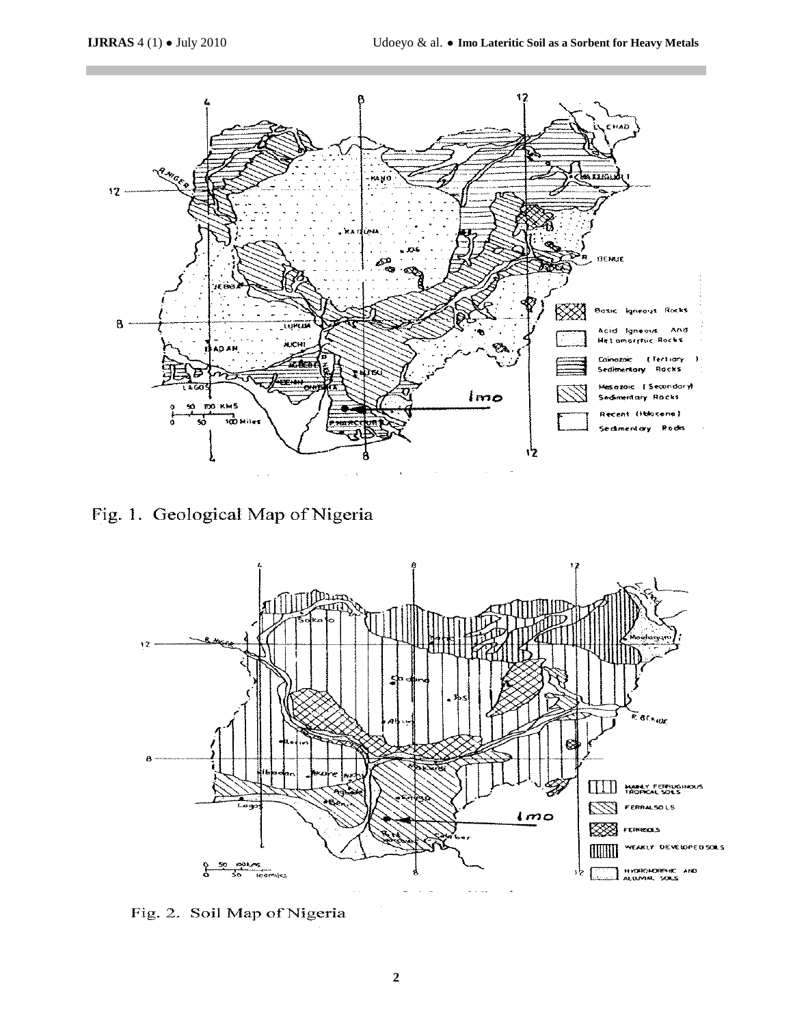

Fig. 1. Geological Map of Nigeria



Fig. 2. Soil Map of Nigeria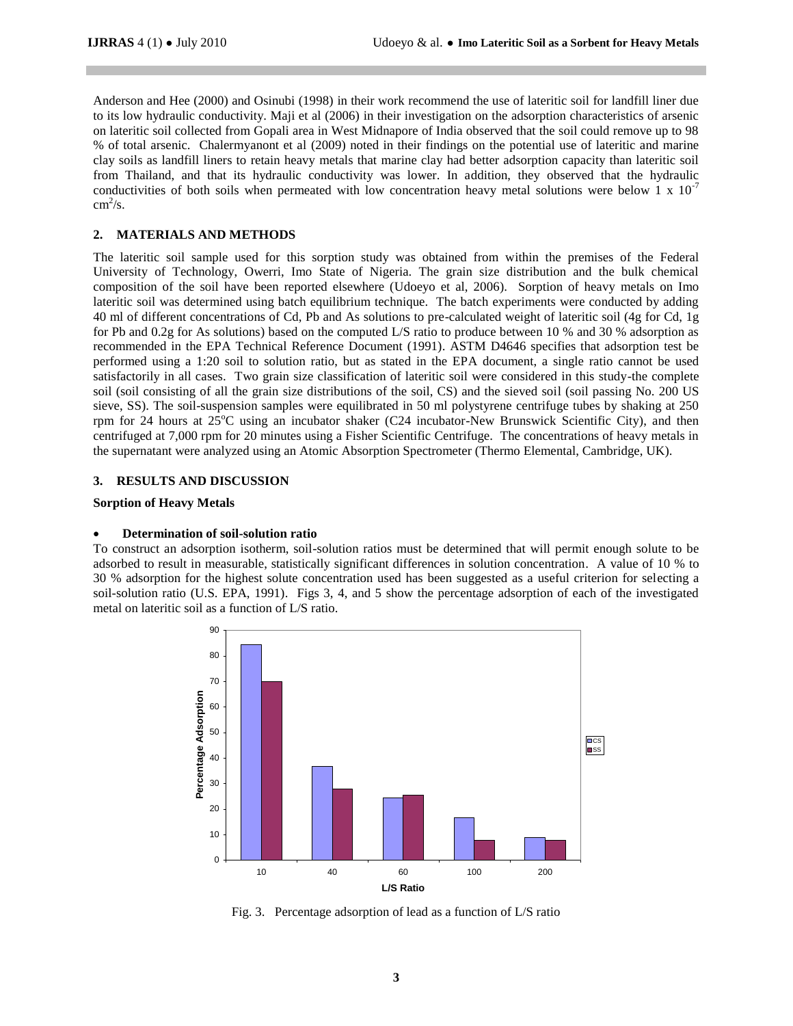Anderson and Hee (2000) and Osinubi (1998) in their work recommend the use of lateritic soil for landfill liner due to its low hydraulic conductivity. Maji et al (2006) in their investigation on the adsorption characteristics of arsenic on lateritic soil collected from Gopali area in West Midnapore of India observed that the soil could remove up to 98 % of total arsenic. Chalermyanont et al (2009) noted in their findings on the potential use of lateritic and marine clay soils as landfill liners to retain heavy metals that marine clay had better adsorption capacity than lateritic soil from Thailand, and that its hydraulic conductivity was lower. In addition, they observed that the hydraulic conductivities of both soils when permeated with low concentration heavy metal solutions were below 1 x  $10^{-7}$  $\text{cm}^2/\text{s}$ .

# **2. MATERIALS AND METHODS**

The lateritic soil sample used for this sorption study was obtained from within the premises of the Federal University of Technology, Owerri, Imo State of Nigeria. The grain size distribution and the bulk chemical composition of the soil have been reported elsewhere (Udoeyo et al, 2006). Sorption of heavy metals on Imo lateritic soil was determined using batch equilibrium technique. The batch experiments were conducted by adding 40 ml of different concentrations of Cd, Pb and As solutions to pre-calculated weight of lateritic soil (4g for Cd, 1g for Pb and 0.2g for As solutions) based on the computed L/S ratio to produce between 10 % and 30 % adsorption as recommended in the EPA Technical Reference Document (1991). ASTM D4646 specifies that adsorption test be performed using a 1:20 soil to solution ratio, but as stated in the EPA document, a single ratio cannot be used satisfactorily in all cases. Two grain size classification of lateritic soil were considered in this study-the complete soil (soil consisting of all the grain size distributions of the soil, CS) and the sieved soil (soil passing No. 200 US sieve, SS). The soil-suspension samples were equilibrated in 50 ml polystyrene centrifuge tubes by shaking at 250 rpm for 24 hours at  $25^{\circ}$ C using an incubator shaker (C24 incubator-New Brunswick Scientific City), and then centrifuged at 7,000 rpm for 20 minutes using a Fisher Scientific Centrifuge. The concentrations of heavy metals in the supernatant were analyzed using an Atomic Absorption Spectrometer (Thermo Elemental, Cambridge, UK).

# **3. RESULTS AND DISCUSSION**

### **Sorption of Heavy Metals**

# **Determination of soil-solution ratio**

To construct an adsorption isotherm, soil-solution ratios must be determined that will permit enough solute to be adsorbed to result in measurable, statistically significant differences in solution concentration. A value of 10 % to 30 % adsorption for the highest solute concentration used has been suggested as a useful criterion for selecting a soil-solution ratio (U.S. EPA, 1991). Figs 3, 4, and 5 show the percentage adsorption of each of the investigated metal on lateritic soil as a function of L/S ratio.



Fig. 3. Percentage adsorption of lead as a function of L/S ratio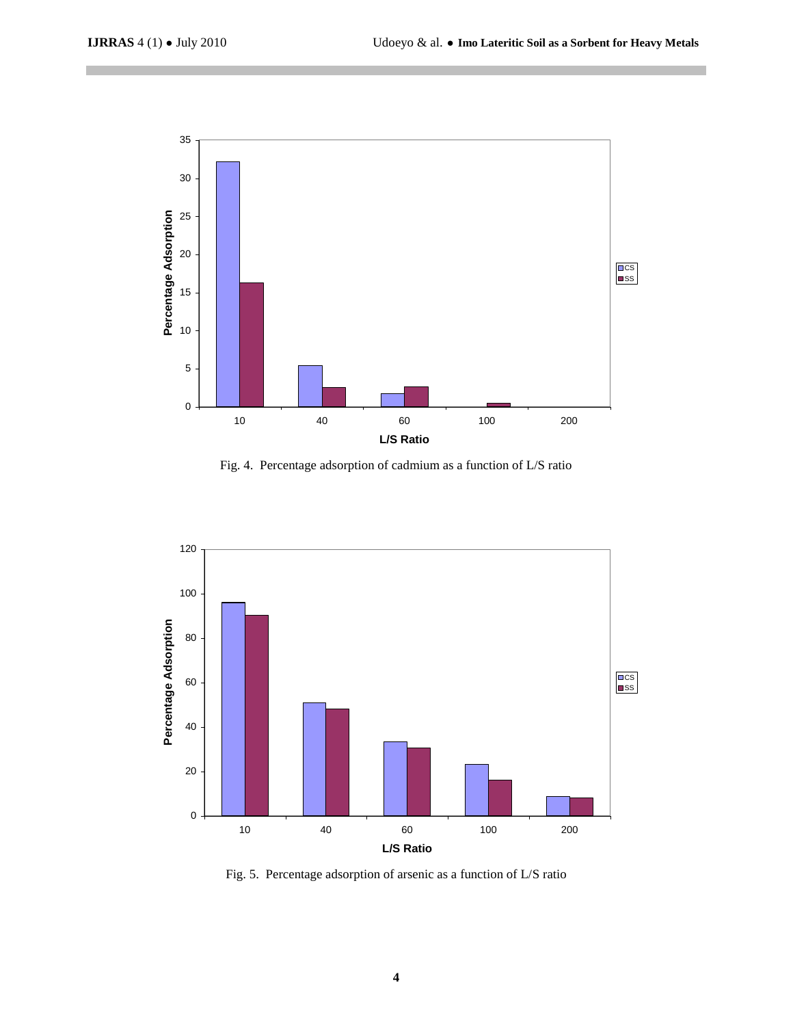

Fig. 4. Percentage adsorption of cadmium as a function of L/S ratio



Fig. 5. Percentage adsorption of arsenic as a function of L/S ratio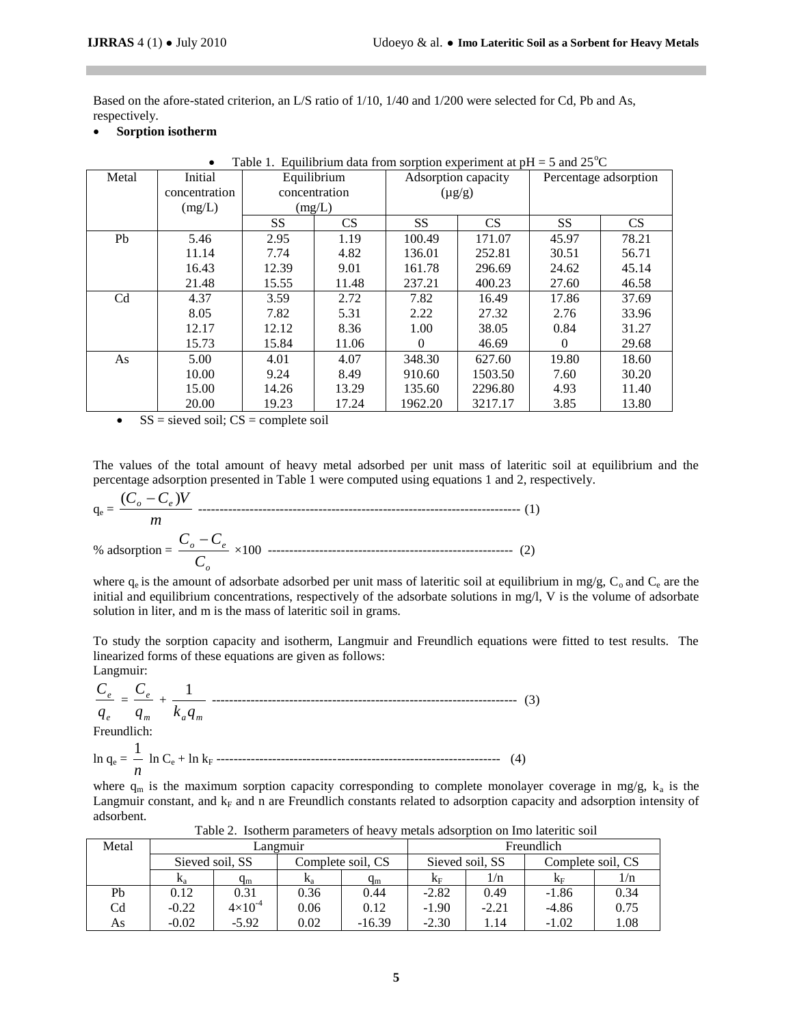Based on the afore-stated criterion, an L/S ratio of 1/10, 1/40 and 1/200 were selected for Cd, Pb and As, respectively.

**Sorption isotherm**

| Table 1. Equilibrium data from sorption experiment at $pH = 5$ and $25^{\circ}C$<br>$\bullet$ |               |               |           |                     |           |                       |           |  |
|-----------------------------------------------------------------------------------------------|---------------|---------------|-----------|---------------------|-----------|-----------------------|-----------|--|
| Metal                                                                                         | Initial       | Equilibrium   |           | Adsorption capacity |           | Percentage adsorption |           |  |
|                                                                                               | concentration | concentration |           | $(\mu g/g)$         |           |                       |           |  |
|                                                                                               | (mg/L)        | (mg/L)        |           |                     |           |                       |           |  |
|                                                                                               |               | <b>SS</b>     | <b>CS</b> | <b>SS</b>           | <b>CS</b> | <b>SS</b>             | <b>CS</b> |  |
| Pb                                                                                            | 5.46          | 2.95          | 1.19      | 100.49              | 171.07    | 45.97                 | 78.21     |  |
|                                                                                               | 11.14         | 7.74          | 4.82      | 136.01              | 252.81    | 30.51                 | 56.71     |  |
|                                                                                               | 16.43         | 12.39         | 9.01      | 161.78              | 296.69    | 24.62                 | 45.14     |  |
|                                                                                               | 21.48         | 15.55         | 11.48     | 237.21              | 400.23    | 27.60                 | 46.58     |  |
| C <sub>d</sub>                                                                                | 4.37          | 3.59          | 2.72      | 7.82                | 16.49     | 17.86                 | 37.69     |  |
|                                                                                               | 8.05          | 7.82          | 5.31      | 2.22                | 27.32     | 2.76                  | 33.96     |  |
|                                                                                               | 12.17         | 12.12         | 8.36      | 1.00                | 38.05     | 0.84                  | 31.27     |  |
|                                                                                               | 15.73         | 15.84         | 11.06     | $\Omega$            | 46.69     | $\Omega$              | 29.68     |  |
| As                                                                                            | 5.00          | 4.01          | 4.07      | 348.30              | 627.60    | 19.80                 | 18.60     |  |
|                                                                                               | 10.00         | 9.24          | 8.49      | 910.60              | 1503.50   | 7.60                  | 30.20     |  |
|                                                                                               | 15.00         | 14.26         | 13.29     | 135.60              | 2296.80   | 4.93                  | 11.40     |  |
|                                                                                               | 20.00         | 19.23         | 17.24     | 1962.20             | 3217.17   | 3.85                  | 13.80     |  |

 $\bullet$  SS = sieved soil; CS = complete soil

The values of the total amount of heavy metal adsorbed per unit mass of lateritic soil at equilibrium and the percentage adsorption presented in Table 1 were computed using equations 1 and 2, respectively.

$$
q_e = \frac{(C_o - C_e)V}{m}
$$
\n
$$
\% adsorption = \frac{C_o - C_e}{C_o} \times 100
$$
\n(1)

where  $q_e$  is the amount of adsorbate adsorbed per unit mass of lateritic soil at equilibrium in mg/g,  $C_o$  and  $C_e$  are the initial and equilibrium concentrations, respectively of the adsorbate solutions in mg/l, V is the volume of adsorbate solution in liter, and m is the mass of lateritic soil in grams.

To study the sorption capacity and isotherm, Langmuir and Freundlich equations were fitted to test results. The linearized forms of these equations are given as follows:

Langmuir: *e e q*  $\frac{C_e}{\sqrt{C}}$  = *m e q*  $\frac{C_e}{+}$  $k_a q_m$ 1 ----------------------------------------------------------------------- (3) Freundlich: 1

$$
\ln q_e = \frac{1}{n} \ln C_e + \ln k_F
$$

where  $q_m$  is the maximum sorption capacity corresponding to complete monolayer coverage in mg/g,  $k_a$  is the Langmuir constant, and  $k_F$  and n are Freundlich constants related to adsorption capacity and adsorption intensity of adsorbent.

| Metal | Langmuir        |                    |                   |                         | Freundlich      |         |                   |      |
|-------|-----------------|--------------------|-------------------|-------------------------|-----------------|---------|-------------------|------|
|       | Sieved soil, SS |                    | Complete soil, CS |                         | Sieved soil, SS |         | Complete soil, CS |      |
|       | $K_a$           | $q_{m}$            | $\mathbf{v}_a$    | $\mathsf{q}_\mathsf{m}$ | $K_{\rm F}$     | 1/n     | $K_{\rm F}$       | 1/n  |
| Pb    | 0.12            | 0.31               | 0.36              | 0.44                    | $-2.82$         | 0.49    | $-1.86$           | 0.34 |
| Cd    | $-0.22$         | $4 \times 10^{-4}$ | 0.06              | 0.12                    | $-1.90$         | $-2.21$ | $-4.86$           | 0.75 |
| As    | $-0.02$         | $-5.92$            | 0.02              | $-16.39$                | $-2.30$         | l.14    | $-1.02$           | 1.08 |

Table 2. Isotherm parameters of heavy metals adsorption on Imo lateritic soil